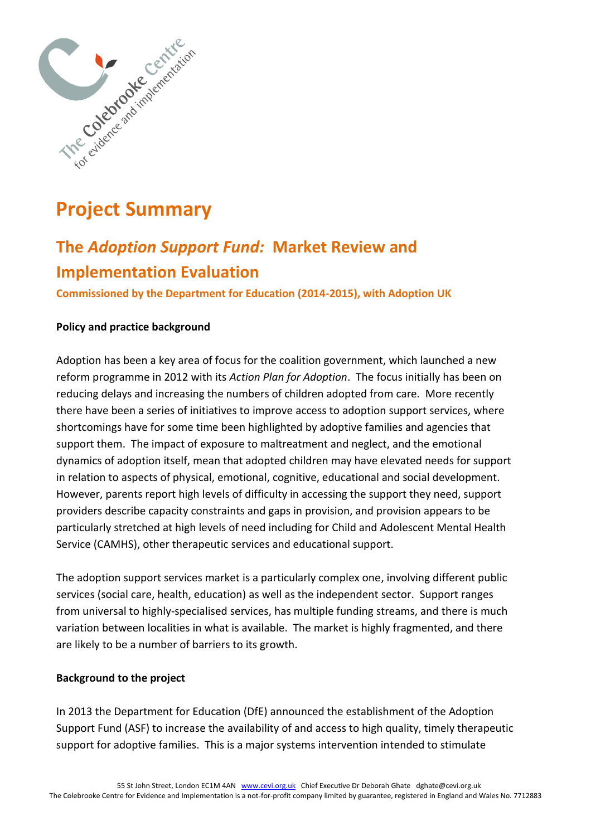

# **Project Summary**

# **The** *Adoption Support Fund:* **Market Review and Implementation Evaluation**

**Commissioned by the Department for Education (2014-2015), with Adoption UK**

## **Policy and practice background**

Adoption has been a key area of focus for the coalition government, which launched a new reform programme in 2012 with its *Action Plan for Adoption*. The focus initially has been on reducing delays and increasing the numbers of children adopted from care. More recently there have been a series of initiatives to improve access to adoption support services, where shortcomings have for some time been highlighted by adoptive families and agencies that support them. The impact of exposure to maltreatment and neglect, and the emotional dynamics of adoption itself, mean that adopted children may have elevated needs for support in relation to aspects of physical, emotional, cognitive, educational and social development. However, parents report high levels of difficulty in accessing the support they need, support providers describe capacity constraints and gaps in provision, and provision appears to be particularly stretched at high levels of need including for Child and Adolescent Mental Health Service (CAMHS), other therapeutic services and educational support.

The adoption support services market is a particularly complex one, involving different public services (social care, health, education) as well as the independent sector. Support ranges from universal to highly-specialised services, has multiple funding streams, and there is much variation between localities in what is available. The market is highly fragmented, and there are likely to be a number of barriers to its growth.

#### **Background to the project**

In 2013 the Department for Education (DfE) announced the establishment of the Adoption Support Fund (ASF) to increase the availability of and access to high quality, timely therapeutic support for adoptive families. This is a major systems intervention intended to stimulate